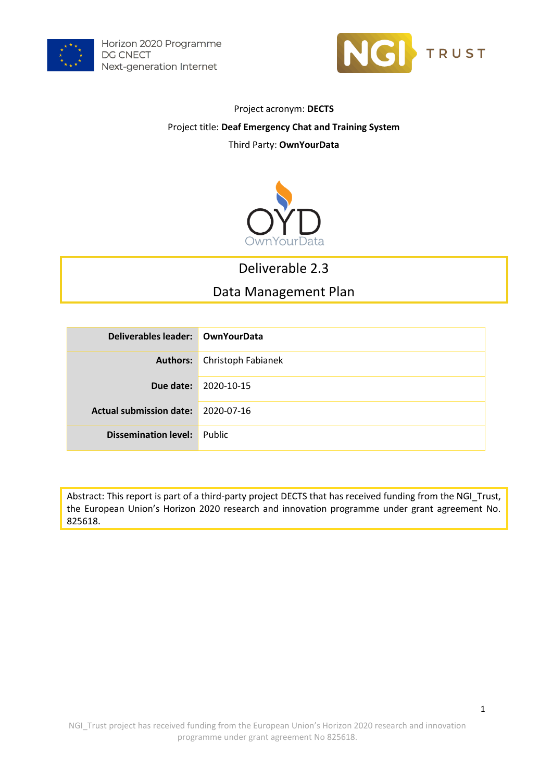



### Project acronym: **DECTS** Project title: **Deaf Emergency Chat and Training System** Third Party: **OwnYourData**



### Deliverable 2.3

### Data Management Plan

| Deliverables leader: OwnYourData   |                                    |
|------------------------------------|------------------------------------|
|                                    | <b>Authors:</b> Christoph Fabianek |
|                                    | <b>Due date: 2020-10-15</b>        |
| Actual submission date: 2020-07-16 |                                    |
| <b>Dissemination level:</b> Public |                                    |

Abstract: This report is part of a third-party project DECTS that has received funding from the NGI\_Trust, the European Union's Horizon 2020 research and innovation programme under grant agreement No. 825618.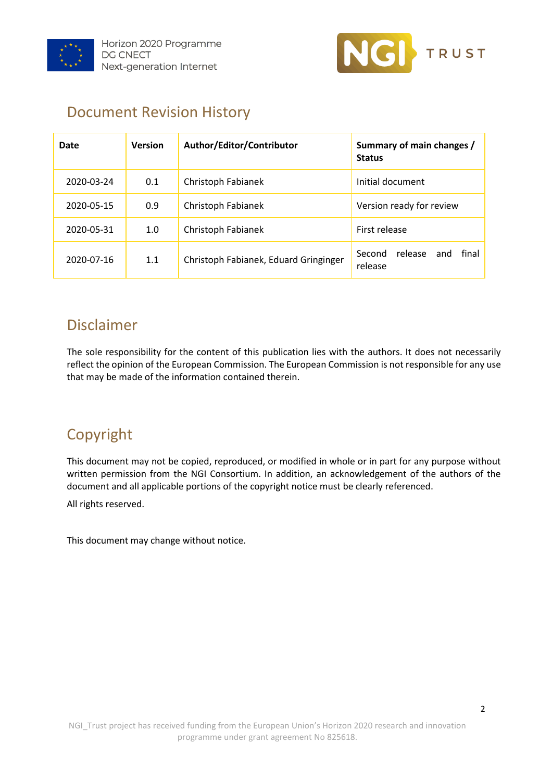



## Document Revision History

| Date       | <b>Version</b>            | Author/Editor/Contributor             | Summary of main changes /<br><b>Status</b>   |  |  |
|------------|---------------------------|---------------------------------------|----------------------------------------------|--|--|
| 2020-03-24 | 0.1                       | Christoph Fabianek                    | Initial document                             |  |  |
| 2020-05-15 | 0.9                       | Christoph Fabianek                    | Version ready for review                     |  |  |
| 2020-05-31 | Christoph Fabianek<br>1.0 |                                       | First release                                |  |  |
| 2020-07-16 | 1.1                       | Christoph Fabianek, Eduard Gringinger | final<br>release<br>Second<br>and<br>release |  |  |

## Disclaimer

The sole responsibility for the content of this publication lies with the authors. It does not necessarily reflect the opinion of the European Commission. The European Commission is not responsible for any use that may be made of the information contained therein.

# Copyright

This document may not be copied, reproduced, or modified in whole or in part for any purpose without written permission from the NGI Consortium. In addition, an acknowledgement of the authors of the document and all applicable portions of the copyright notice must be clearly referenced.

All rights reserved.

This document may change without notice.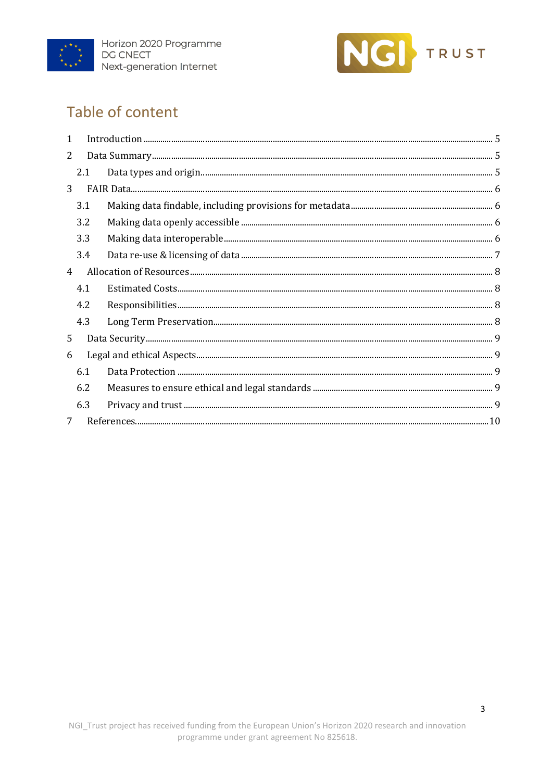



# Table of content

| $\mathbf{1}$   |     |  |
|----------------|-----|--|
| 2              |     |  |
|                | 2.1 |  |
| 3              |     |  |
|                | 3.1 |  |
|                | 3.2 |  |
|                | 3.3 |  |
|                | 3.4 |  |
| $\overline{4}$ |     |  |
|                | 4.1 |  |
|                | 4.2 |  |
|                | 4.3 |  |
| 5              |     |  |
| 6              |     |  |
|                | 6.1 |  |
|                | 6.2 |  |
|                | 6.3 |  |
| $\overline{7}$ |     |  |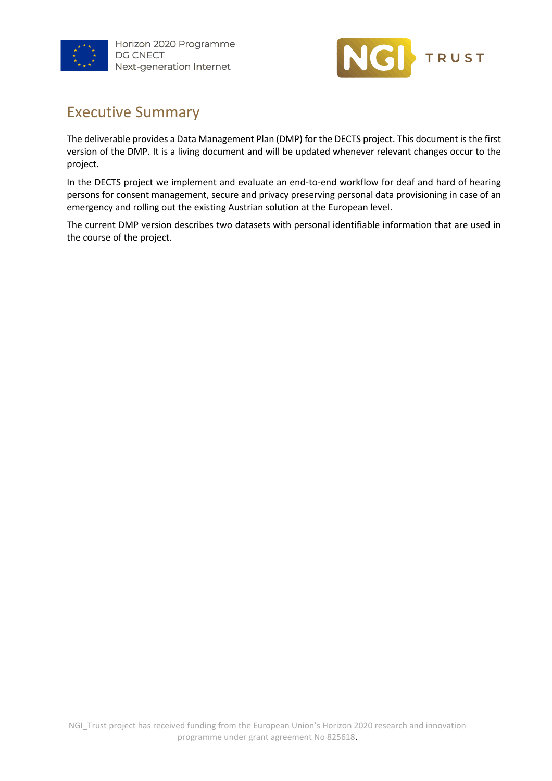



## Executive Summary

The deliverable provides a Data Management Plan (DMP) for the DECTS project. This document is the first version of the DMP. It is a living document and will be updated whenever relevant changes occur to the project.

In the DECTS project we implement and evaluate an end-to-end workflow for deaf and hard of hearing persons for consent management, secure and privacy preserving personal data provisioning in case of an emergency and rolling out the existing Austrian solution at the European level.

The current DMP version describes two datasets with personal identifiable information that are used in the course of the project.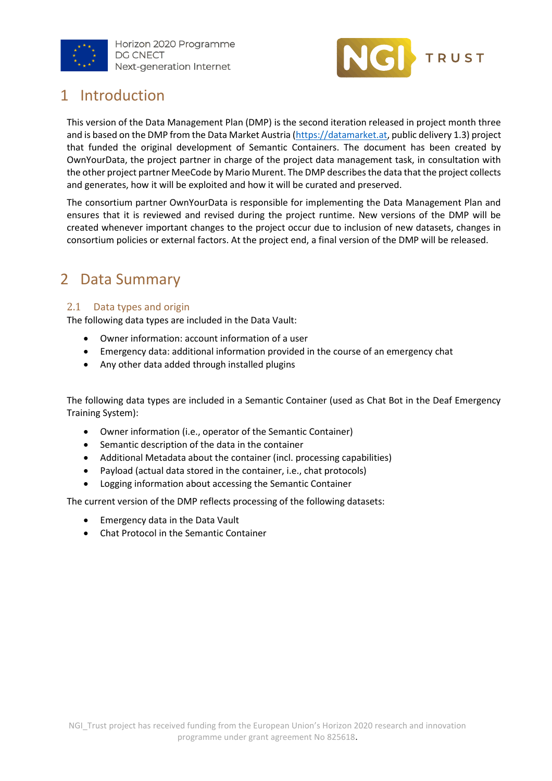



## <span id="page-4-0"></span>1 Introduction

This version of the Data Management Plan (DMP) is the second iteration released in project month three and is based on the DMP from the Data Market Austria [\(https://datamarket.at,](https://datamarket.at/) public delivery 1.3) project that funded the original development of Semantic Containers. The document has been created by OwnYourData, the project partner in charge of the project data management task, in consultation with the other project partner MeeCode by Mario Murent. The DMP describes the data that the project collects and generates, how it will be exploited and how it will be curated and preserved.

The consortium partner OwnYourData is responsible for implementing the Data Management Plan and ensures that it is reviewed and revised during the project runtime. New versions of the DMP will be created whenever important changes to the project occur due to inclusion of new datasets, changes in consortium policies or external factors. At the project end, a final version of the DMP will be released.

## <span id="page-4-1"></span>2 Data Summary

#### <span id="page-4-2"></span>2.1 Data types and origin

The following data types are included in the Data Vault:

- Owner information: account information of a user
- Emergency data: additional information provided in the course of an emergency chat
- Any other data added through installed plugins

The following data types are included in a Semantic Container (used as Chat Bot in the Deaf Emergency Training System):

- Owner information (i.e., operator of the Semantic Container)
- Semantic description of the data in the container
- Additional Metadata about the container (incl. processing capabilities)
- Payload (actual data stored in the container, i.e., chat protocols)
- Logging information about accessing the Semantic Container

The current version of the DMP reflects processing of the following datasets:

- Emergency data in the Data Vault
- Chat Protocol in the Semantic Container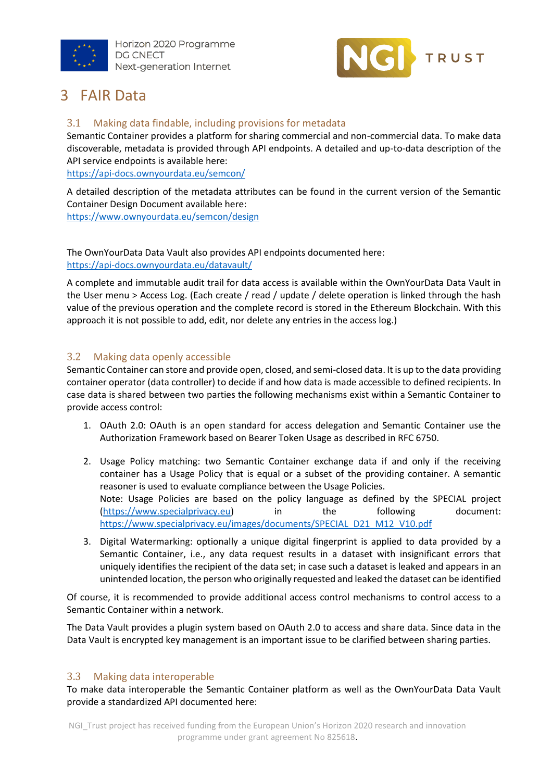



### <span id="page-5-0"></span>3 FAIR Data

#### <span id="page-5-1"></span>3.1 Making data findable, including provisions for metadata

Semantic Container provides a platform for sharing commercial and non-commercial data. To make data discoverable, metadata is provided through API endpoints. A detailed and up-to-data description of the API service endpoints is available here:

<https://api-docs.ownyourdata.eu/semcon/>

A detailed description of the metadata attributes can be found in the current version of the Semantic Container Design Document available here:

<https://www.ownyourdata.eu/semcon/design>

The OwnYourData Data Vault also provides API endpoints documented here: <https://api-docs.ownyourdata.eu/datavault/>

A complete and immutable audit trail for data access is available within the OwnYourData Data Vault in the User menu > Access Log. (Each create / read / update / delete operation is linked through the hash value of the previous operation and the complete record is stored in the Ethereum Blockchain. With this approach it is not possible to add, edit, nor delete any entries in the access log.)

#### <span id="page-5-2"></span>3.2 Making data openly accessible

Semantic Container can store and provide open, closed, and semi-closed data. It is up to the data providing container operator (data controller) to decide if and how data is made accessible to defined recipients. In case data is shared between two parties the following mechanisms exist within a Semantic Container to provide access control:

- 1. OAuth 2.0: OAuth is an open standard for access delegation and Semantic Container use the Authorization Framework based on Bearer Token Usage as described in RFC 6750.
- 2. Usage Policy matching: two Semantic Container exchange data if and only if the receiving container has a Usage Policy that is equal or a subset of the providing container. A semantic reasoner is used to evaluate compliance between the Usage Policies. Note: Usage Policies are based on the policy language as defined by the SPECIAL project [\(https://www.specialprivacy.eu\)](https://www.specialprivacy.eu/) in the following document: [https://www.specialprivacy.eu/images/documents/SPECIAL\\_D21\\_M12\\_V10.pdf](https://www.specialprivacy.eu/images/documents/SPECIAL_D21_M12_V10.pdf)
- 3. Digital Watermarking: optionally a unique digital fingerprint is applied to data provided by a Semantic Container, i.e., any data request results in a dataset with insignificant errors that uniquely identifies the recipient of the data set; in case such a dataset is leaked and appears in an unintended location, the person who originally requested and leaked the dataset can be identified

Of course, it is recommended to provide additional access control mechanisms to control access to a Semantic Container within a network.

The Data Vault provides a plugin system based on OAuth 2.0 to access and share data. Since data in the Data Vault is encrypted key management is an important issue to be clarified between sharing parties.

#### <span id="page-5-3"></span>3.3 Making data interoperable

To make data interoperable the Semantic Container platform as well as the OwnYourData Data Vault provide a standardized API documented here: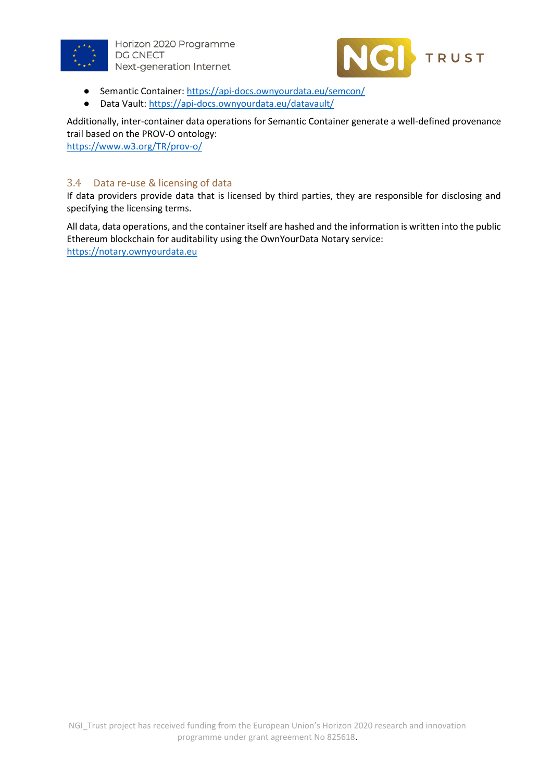



- Semantic Container:<https://api-docs.ownyourdata.eu/semcon/>
- Data Vault:<https://api-docs.ownyourdata.eu/datavault/>

Additionally, inter-container data operations for Semantic Container generate a well-defined provenance trail based on the PROV-O ontology:

<https://www.w3.org/TR/prov-o/>

#### <span id="page-6-0"></span>3.4 Data re-use & licensing of data

If data providers provide data that is licensed by third parties, they are responsible for disclosing and specifying the licensing terms.

All data, data operations, and the container itself are hashed and the information is written into the public Ethereum blockchain for auditability using the OwnYourData Notary service: [https://notary.ownyourdata.eu](https://notary.ownyourdata.eu/)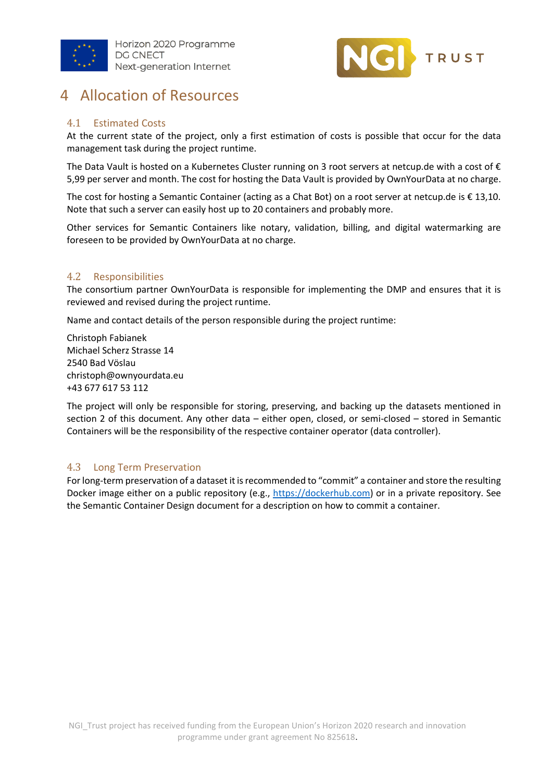



### <span id="page-7-0"></span>4 Allocation of Resources

#### <span id="page-7-1"></span>4.1 Estimated Costs

At the current state of the project, only a first estimation of costs is possible that occur for the data management task during the project runtime.

The Data Vault is hosted on a Kubernetes Cluster running on 3 root servers at netcup.de with a cost of  $\epsilon$ 5,99 per server and month. The cost for hosting the Data Vault is provided by OwnYourData at no charge.

The cost for hosting a Semantic Container (acting as a Chat Bot) on a root server at netcup.de is € 13,10. Note that such a server can easily host up to 20 containers and probably more.

Other services for Semantic Containers like notary, validation, billing, and digital watermarking are foreseen to be provided by OwnYourData at no charge.

#### <span id="page-7-2"></span>4.2 Responsibilities

The consortium partner OwnYourData is responsible for implementing the DMP and ensures that it is reviewed and revised during the project runtime.

Name and contact details of the person responsible during the project runtime:

Christoph Fabianek Michael Scherz Strasse 14 2540 Bad Vöslau [christoph@ownyourdata.eu](mailto:christoph@ownyourdata.eu) +43 677 617 53 112

The project will only be responsible for storing, preserving, and backing up the datasets mentioned in section 2 of this document. Any other data – either open, closed, or semi-closed – stored in Semantic Containers will be the responsibility of the respective container operator (data controller).

#### <span id="page-7-3"></span>4.3 Long Term Preservation

For long-term preservation of a dataset it is recommended to "commit" a container and store the resulting Docker image either on a public repository (e.g., [https://dockerhub.com\)](https://dockerhub.com/) or in a private repository. See the Semantic Container Design document for a description on how to commit a container.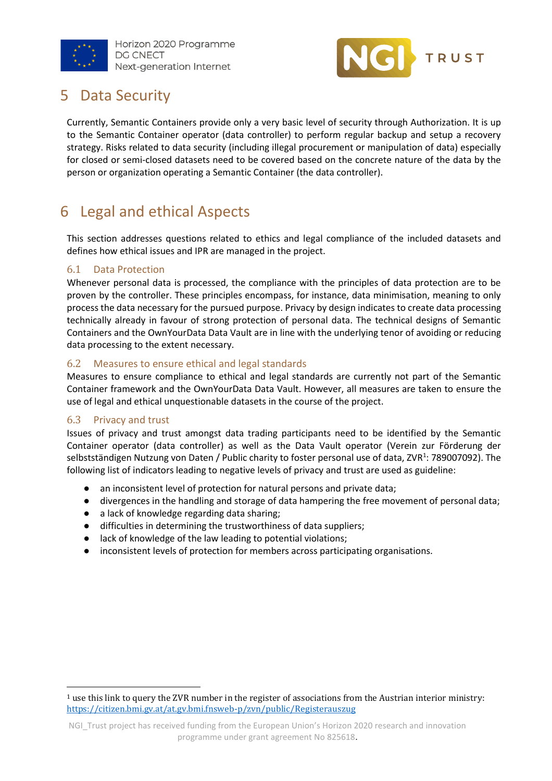



### <span id="page-8-0"></span>**Data Security**

Currently, Semantic Containers provide only a very basic level of security through Authorization. It is up to the Semantic Container operator (data controller) to perform regular backup and setup a recovery strategy. Risks related to data security (including illegal procurement or manipulation of data) especially for closed or semi-closed datasets need to be covered based on the concrete nature of the data by the person or organization operating a Semantic Container (the data controller).

# <span id="page-8-1"></span>6 Legal and ethical Aspects

This section addresses questions related to ethics and legal compliance of the included datasets and defines how ethical issues and IPR are managed in the project.

#### <span id="page-8-2"></span>6.1 Data Protection

Whenever personal data is processed, the compliance with the principles of data protection are to be proven by the controller. These principles encompass, for instance, data minimisation, meaning to only process the data necessary for the pursued purpose. Privacy by design indicates to create data processing technically already in favour of strong protection of personal data. The technical designs of Semantic Containers and the OwnYourData Data Vault are in line with the underlying tenor of avoiding or reducing data processing to the extent necessary.

#### <span id="page-8-3"></span>6.2 Measures to ensure ethical and legal standards

Measures to ensure compliance to ethical and legal standards are currently not part of the Semantic Container framework and the OwnYourData Data Vault. However, all measures are taken to ensure the use of legal and ethical unquestionable datasets in the course of the project.

#### <span id="page-8-4"></span>6.3 Privacy and trust

Issues of privacy and trust amongst data trading participants need to be identified by the Semantic Container operator (data controller) as well as the Data Vault operator (Verein zur Förderung der selbstständigen Nutzung von Daten / Public charity to foster personal use of data, ZVR<sup>1</sup>: 789007092). The following list of indicators leading to negative levels of privacy and trust are used as guideline:

- an inconsistent level of protection for natural persons and private data;
- divergences in the handling and storage of data hampering the free movement of personal data;
- a lack of knowledge regarding data sharing;
- difficulties in determining the trustworthiness of data suppliers;
- lack of knowledge of the law leading to potential violations;
- inconsistent levels of protection for members across participating organisations.

<sup>1</sup> use this link to query the ZVR number in the register of associations from the Austrian interior ministry: <https://citizen.bmi.gv.at/at.gv.bmi.fnsweb-p/zvn/public/Registerauszug>